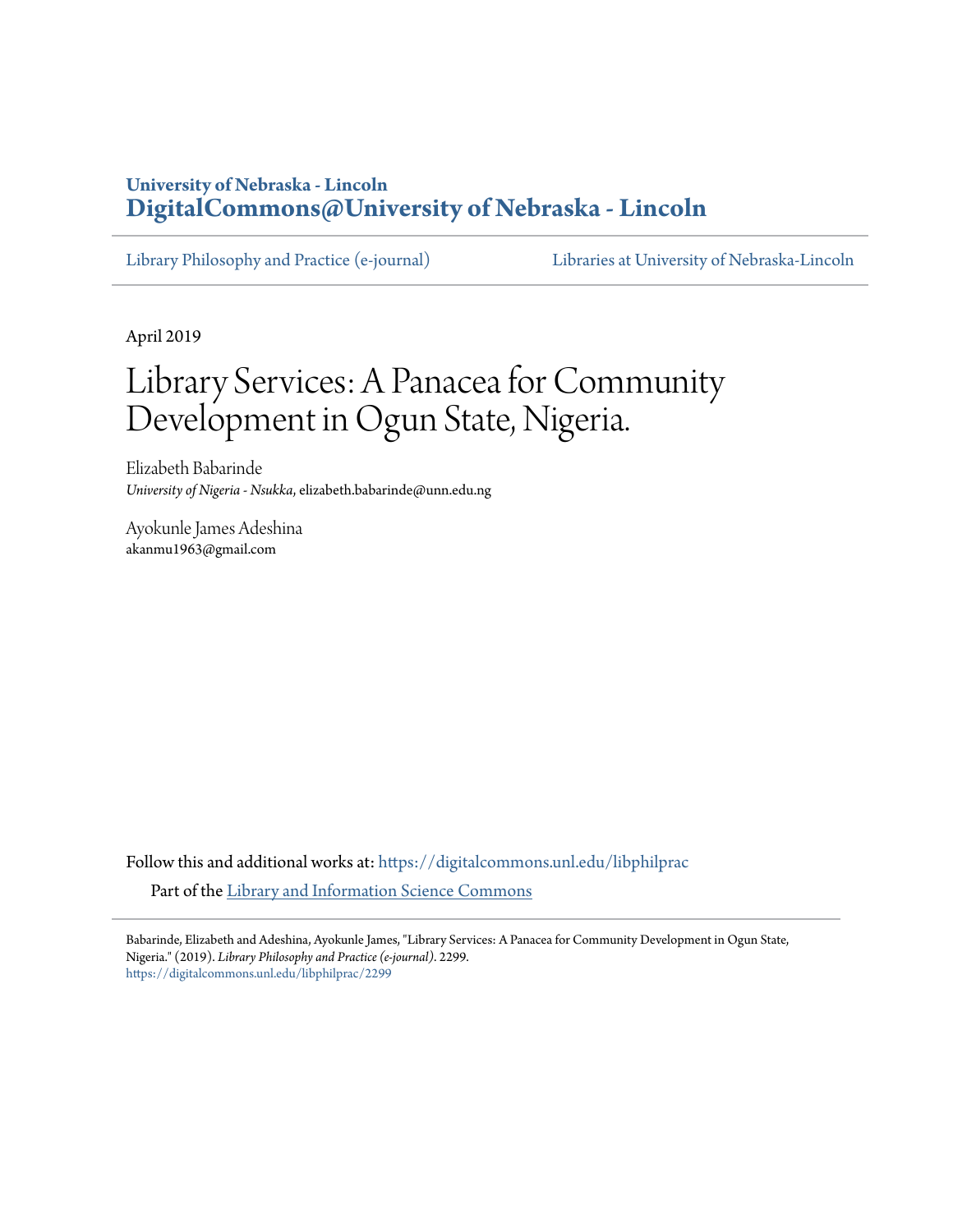# **University of Nebraska - Lincoln [DigitalCommons@University of Nebraska - Lincoln](https://digitalcommons.unl.edu?utm_source=digitalcommons.unl.edu%2Flibphilprac%2F2299&utm_medium=PDF&utm_campaign=PDFCoverPages)**

[Library Philosophy and Practice \(e-journal\)](https://digitalcommons.unl.edu/libphilprac?utm_source=digitalcommons.unl.edu%2Flibphilprac%2F2299&utm_medium=PDF&utm_campaign=PDFCoverPages) [Libraries at University of Nebraska-Lincoln](https://digitalcommons.unl.edu/libraries?utm_source=digitalcommons.unl.edu%2Flibphilprac%2F2299&utm_medium=PDF&utm_campaign=PDFCoverPages)

April 2019

# Library Services: A Panacea for Community Development in Ogun State, Nigeria.

Elizabeth Babarinde *University of Nigeria - Nsukka*, elizabeth.babarinde@unn.edu.ng

Ayokunle James Adeshina akanmu1963@gmail.com

Follow this and additional works at: [https://digitalcommons.unl.edu/libphilprac](https://digitalcommons.unl.edu/libphilprac?utm_source=digitalcommons.unl.edu%2Flibphilprac%2F2299&utm_medium=PDF&utm_campaign=PDFCoverPages) Part of the [Library and Information Science Commons](http://network.bepress.com/hgg/discipline/1018?utm_source=digitalcommons.unl.edu%2Flibphilprac%2F2299&utm_medium=PDF&utm_campaign=PDFCoverPages)

Babarinde, Elizabeth and Adeshina, Ayokunle James, "Library Services: A Panacea for Community Development in Ogun State, Nigeria." (2019). *Library Philosophy and Practice (e-journal)*. 2299. [https://digitalcommons.unl.edu/libphilprac/2299](https://digitalcommons.unl.edu/libphilprac/2299?utm_source=digitalcommons.unl.edu%2Flibphilprac%2F2299&utm_medium=PDF&utm_campaign=PDFCoverPages)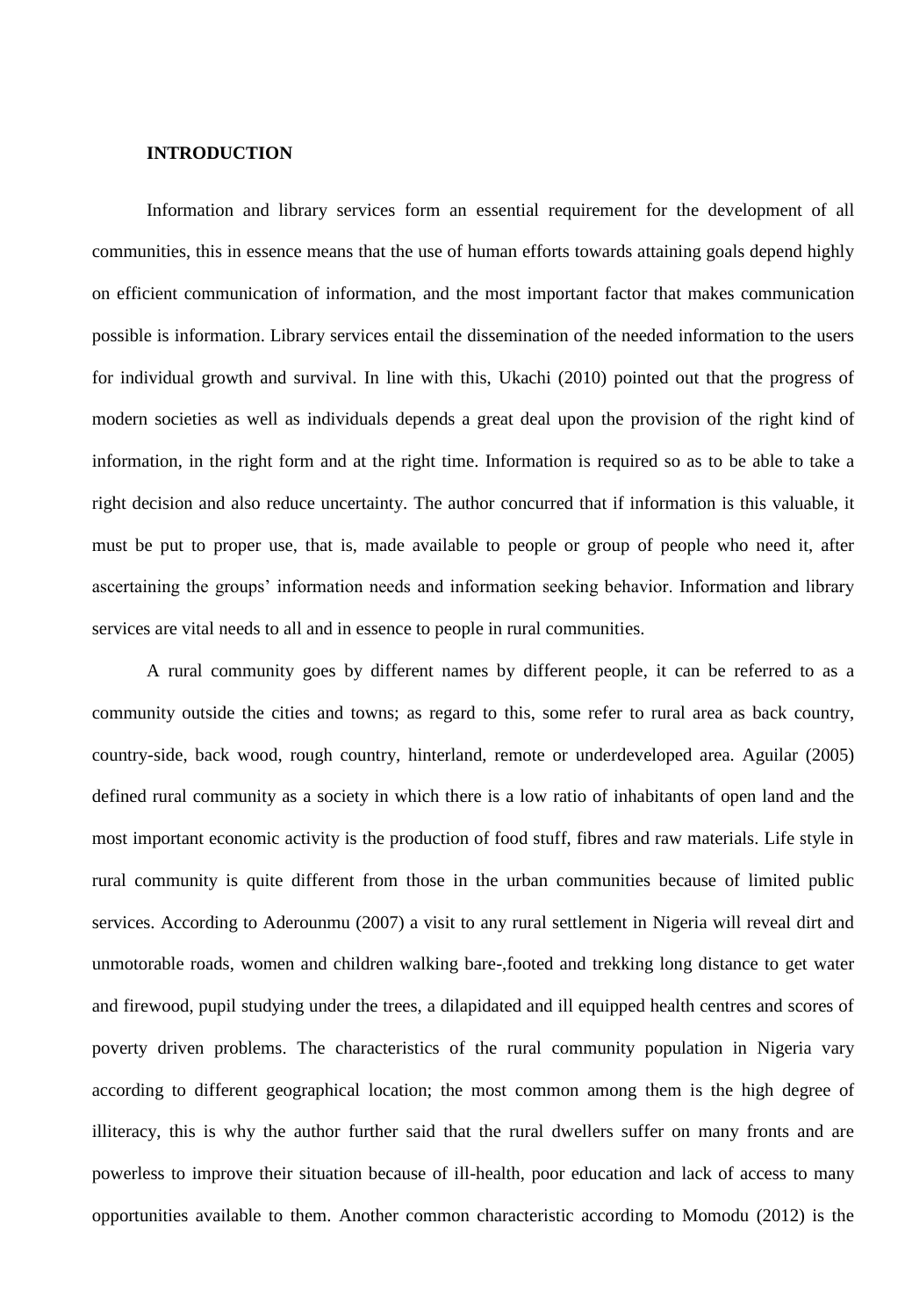#### **INTRODUCTION**

Information and library services form an essential requirement for the development of all communities, this in essence means that the use of human efforts towards attaining goals depend highly on efficient communication of information, and the most important factor that makes communication possible is information. Library services entail the dissemination of the needed information to the users for individual growth and survival. In line with this, Ukachi (2010) pointed out that the progress of modern societies as well as individuals depends a great deal upon the provision of the right kind of information, in the right form and at the right time. Information is required so as to be able to take a right decision and also reduce uncertainty. The author concurred that if information is this valuable, it must be put to proper use, that is, made available to people or group of people who need it, after ascertaining the groups' information needs and information seeking behavior. Information and library services are vital needs to all and in essence to people in rural communities.

A rural community goes by different names by different people, it can be referred to as a community outside the cities and towns; as regard to this, some refer to rural area as back country, country-side, back wood, rough country, hinterland, remote or underdeveloped area. Aguilar (2005) defined rural community as a society in which there is a low ratio of inhabitants of open land and the most important economic activity is the production of food stuff, fibres and raw materials. Life style in rural community is quite different from those in the urban communities because of limited public services. According to Aderounmu (2007) a visit to any rural settlement in Nigeria will reveal dirt and unmotorable roads, women and children walking bare-,footed and trekking long distance to get water and firewood, pupil studying under the trees, a dilapidated and ill equipped health centres and scores of poverty driven problems. The characteristics of the rural community population in Nigeria vary according to different geographical location; the most common among them is the high degree of illiteracy, this is why the author further said that the rural dwellers suffer on many fronts and are powerless to improve their situation because of ill-health, poor education and lack of access to many opportunities available to them. Another common characteristic according to Momodu (2012) is the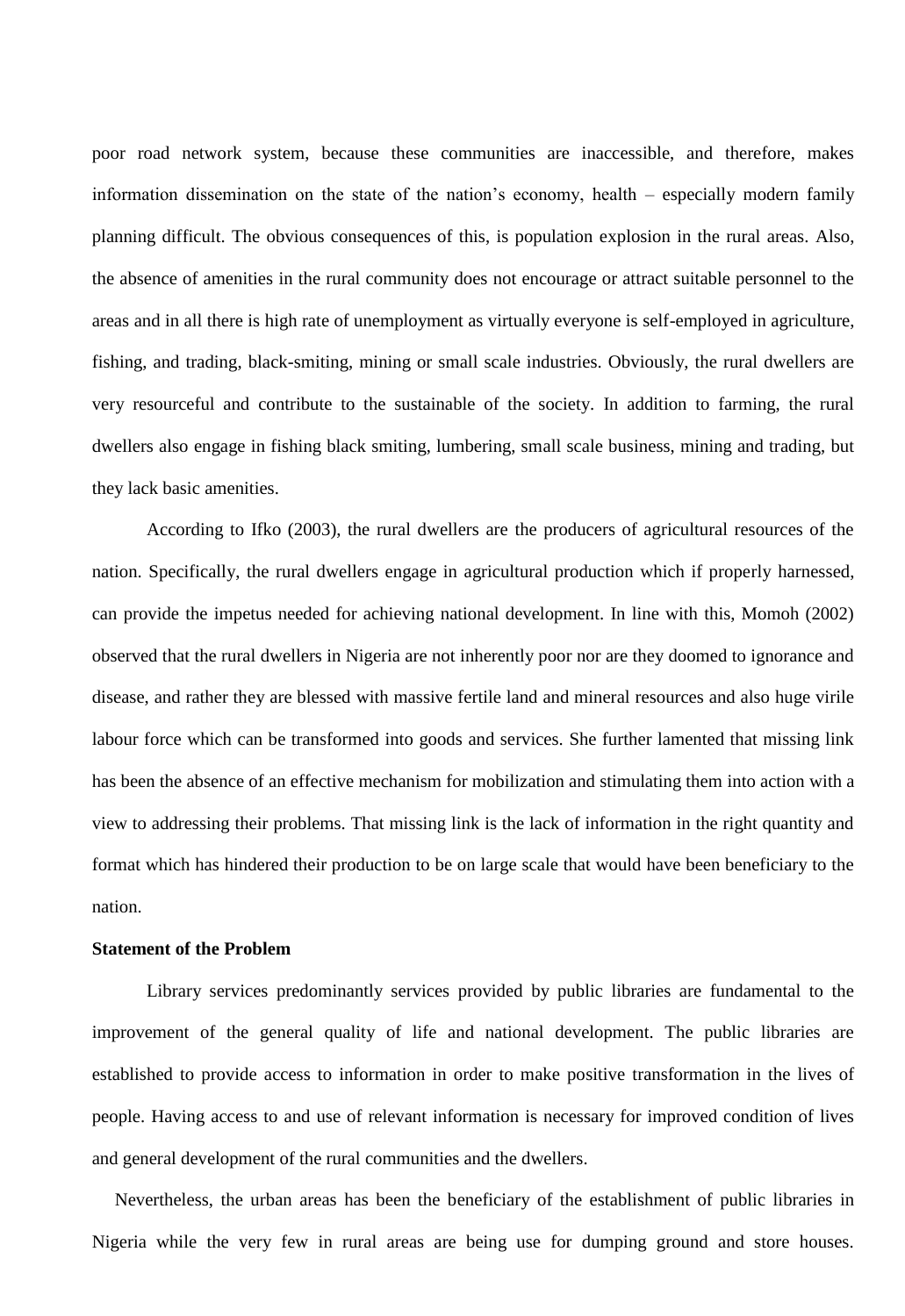poor road network system, because these communities are inaccessible, and therefore, makes information dissemination on the state of the nation's economy, health – especially modern family planning difficult. The obvious consequences of this, is population explosion in the rural areas. Also, the absence of amenities in the rural community does not encourage or attract suitable personnel to the areas and in all there is high rate of unemployment as virtually everyone is self-employed in agriculture, fishing, and trading, black-smiting, mining or small scale industries. Obviously, the rural dwellers are very resourceful and contribute to the sustainable of the society. In addition to farming, the rural dwellers also engage in fishing black smiting, lumbering, small scale business, mining and trading, but they lack basic amenities.

According to Ifko (2003), the rural dwellers are the producers of agricultural resources of the nation. Specifically, the rural dwellers engage in agricultural production which if properly harnessed, can provide the impetus needed for achieving national development. In line with this, Momoh (2002) observed that the rural dwellers in Nigeria are not inherently poor nor are they doomed to ignorance and disease, and rather they are blessed with massive fertile land and mineral resources and also huge virile labour force which can be transformed into goods and services. She further lamented that missing link has been the absence of an effective mechanism for mobilization and stimulating them into action with a view to addressing their problems. That missing link is the lack of information in the right quantity and format which has hindered their production to be on large scale that would have been beneficiary to the nation.

# **Statement of the Problem**

Library services predominantly services provided by public libraries are fundamental to the improvement of the general quality of life and national development. The public libraries are established to provide access to information in order to make positive transformation in the lives of people. Having access to and use of relevant information is necessary for improved condition of lives and general development of the rural communities and the dwellers.

 Nevertheless, the urban areas has been the beneficiary of the establishment of public libraries in Nigeria while the very few in rural areas are being use for dumping ground and store houses.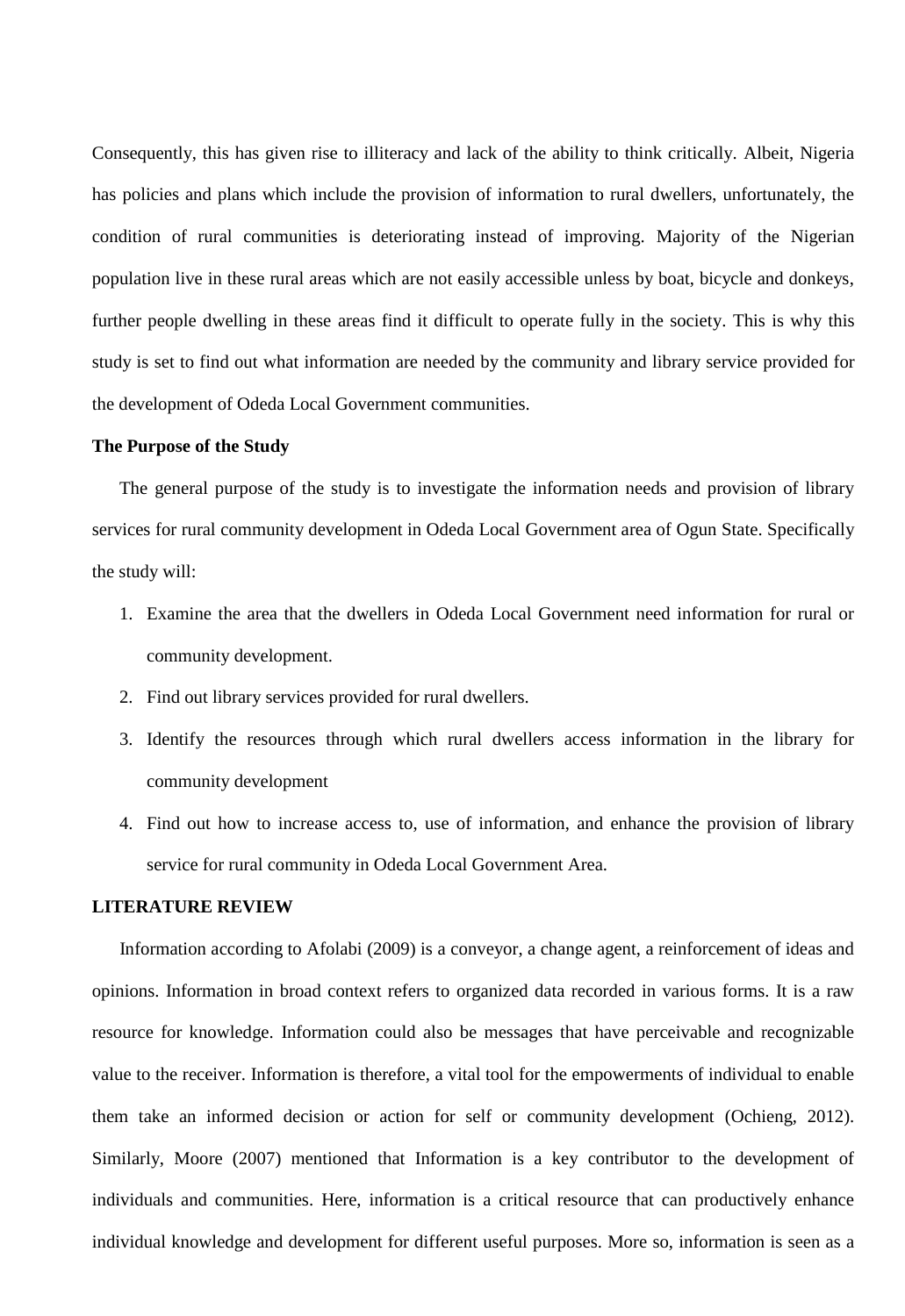Consequently, this has given rise to illiteracy and lack of the ability to think critically. Albeit, Nigeria has policies and plans which include the provision of information to rural dwellers, unfortunately, the condition of rural communities is deteriorating instead of improving. Majority of the Nigerian population live in these rural areas which are not easily accessible unless by boat, bicycle and donkeys, further people dwelling in these areas find it difficult to operate fully in the society. This is why this study is set to find out what information are needed by the community and library service provided for the development of Odeda Local Government communities.

#### **The Purpose of the Study**

The general purpose of the study is to investigate the information needs and provision of library services for rural community development in Odeda Local Government area of Ogun State. Specifically the study will:

- 1. Examine the area that the dwellers in Odeda Local Government need information for rural or community development.
- 2. Find out library services provided for rural dwellers.
- 3. Identify the resources through which rural dwellers access information in the library for community development
- 4. Find out how to increase access to, use of information, and enhance the provision of library service for rural community in Odeda Local Government Area.

### **LITERATURE REVIEW**

 Information according to Afolabi (2009) is a conveyor, a change agent, a reinforcement of ideas and opinions. Information in broad context refers to organized data recorded in various forms. It is a raw resource for knowledge. Information could also be messages that have perceivable and recognizable value to the receiver. Information is therefore, a vital tool for the empowerments of individual to enable them take an informed decision or action for self or community development (Ochieng, 2012). Similarly, Moore (2007) mentioned that Information is a key contributor to the development of individuals and communities. Here, information is a critical resource that can productively enhance individual knowledge and development for different useful purposes. More so, information is seen as a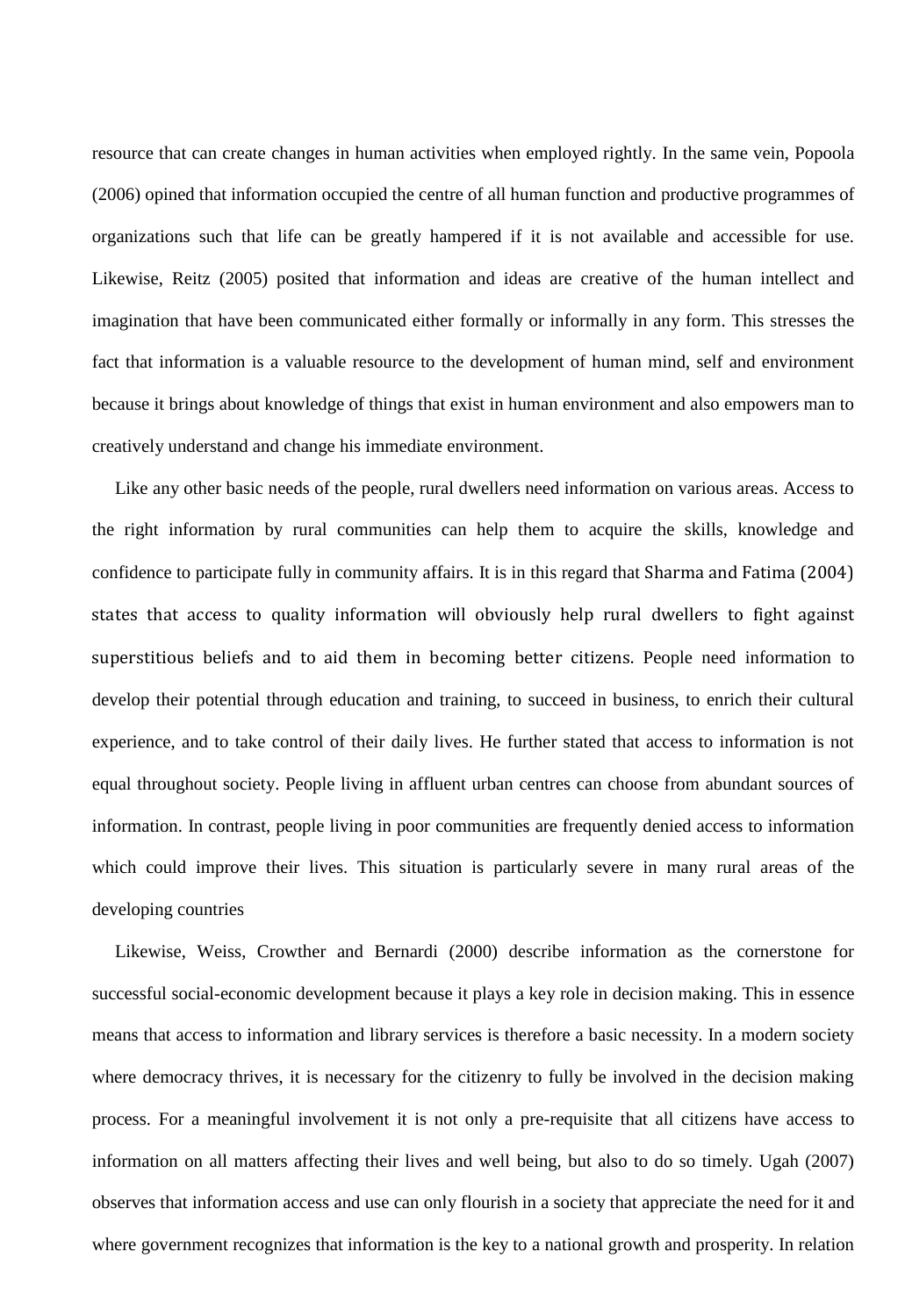resource that can create changes in human activities when employed rightly. In the same vein, Popoola (2006) opined that information occupied the centre of all human function and productive programmes of organizations such that life can be greatly hampered if it is not available and accessible for use. Likewise, Reitz (2005) posited that information and ideas are creative of the human intellect and imagination that have been communicated either formally or informally in any form. This stresses the fact that information is a valuable resource to the development of human mind, self and environment because it brings about knowledge of things that exist in human environment and also empowers man to creatively understand and change his immediate environment.

 Like any other basic needs of the people, rural dwellers need information on various areas. Access to the right information by rural communities can help them to acquire the skills, knowledge and confidence to participate fully in community affairs. It is in this regard that Sharma and Fatima (2004) states that access to quality information will obviously help rural dwellers to fight against superstitious beliefs and to aid them in becoming better citizens. People need information to develop their potential through education and training, to succeed in business, to enrich their cultural experience, and to take control of their daily lives. He further stated that access to information is not equal throughout society. People living in affluent urban centres can choose from abundant sources of information. In contrast, people living in poor communities are frequently denied access to information which could improve their lives. This situation is particularly severe in many rural areas of the developing countries

 Likewise, Weiss, Crowther and Bernardi (2000) describe information as the cornerstone for successful social-economic development because it plays a key role in decision making. This in essence means that access to information and library services is therefore a basic necessity. In a modern society where democracy thrives, it is necessary for the citizenry to fully be involved in the decision making process. For a meaningful involvement it is not only a pre-requisite that all citizens have access to information on all matters affecting their lives and well being, but also to do so timely. Ugah (2007) observes that information access and use can only flourish in a society that appreciate the need for it and where government recognizes that information is the key to a national growth and prosperity. In relation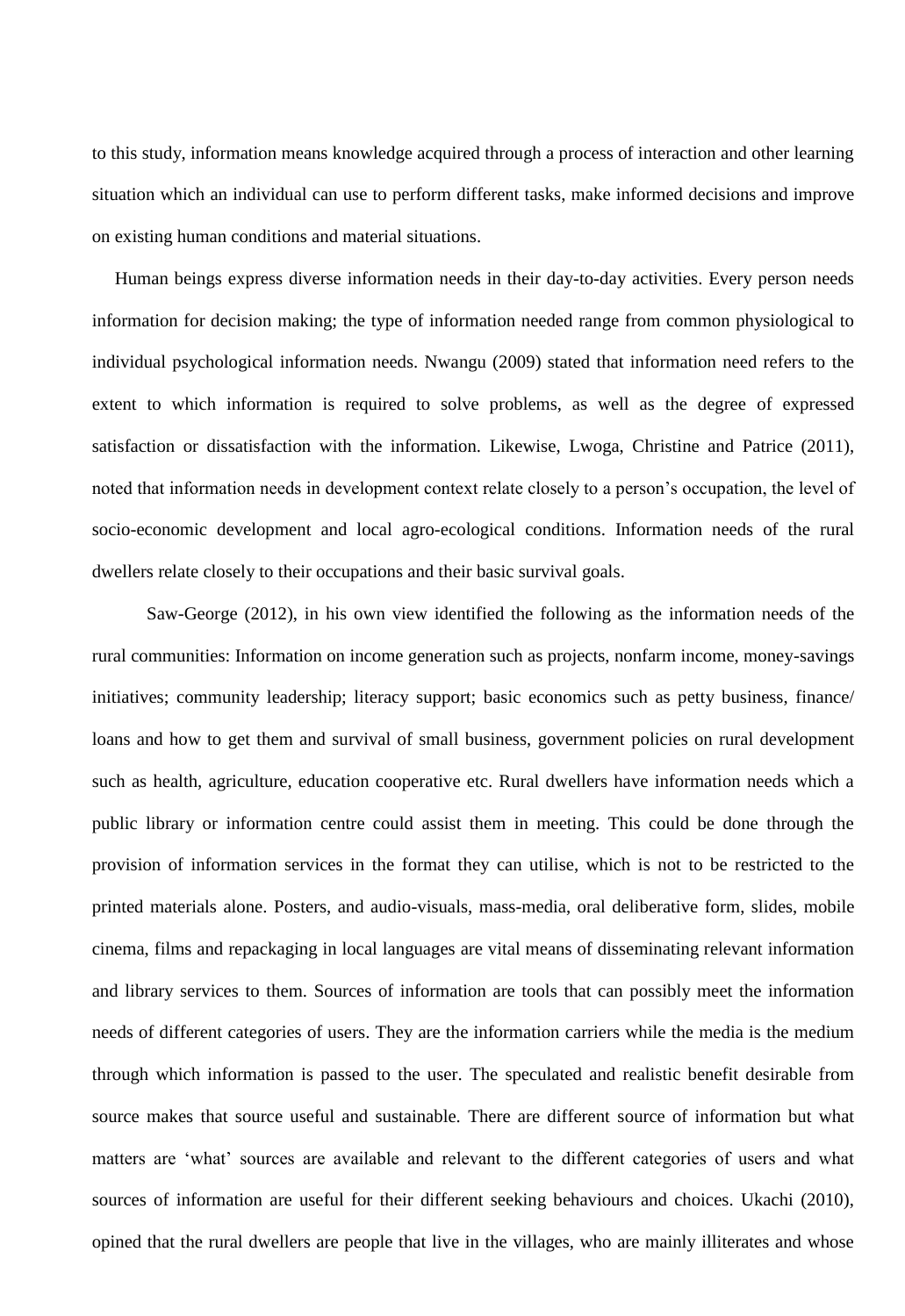to this study, information means knowledge acquired through a process of interaction and other learning situation which an individual can use to perform different tasks, make informed decisions and improve on existing human conditions and material situations.

 Human beings express diverse information needs in their day-to-day activities. Every person needs information for decision making; the type of information needed range from common physiological to individual psychological information needs. Nwangu (2009) stated that information need refers to the extent to which information is required to solve problems, as well as the degree of expressed satisfaction or dissatisfaction with the information. Likewise, Lwoga, Christine and Patrice (2011), noted that information needs in development context relate closely to a person's occupation, the level of socio-economic development and local agro-ecological conditions. Information needs of the rural dwellers relate closely to their occupations and their basic survival goals.

Saw-George (2012), in his own view identified the following as the information needs of the rural communities: Information on income generation such as projects, nonfarm income, money-savings initiatives; community leadership; literacy support; basic economics such as petty business, finance/ loans and how to get them and survival of small business, government policies on rural development such as health, agriculture, education cooperative etc. Rural dwellers have information needs which a public library or information centre could assist them in meeting. This could be done through the provision of information services in the format they can utilise, which is not to be restricted to the printed materials alone. Posters, and audio-visuals, mass-media, oral deliberative form, slides, mobile cinema, films and repackaging in local languages are vital means of disseminating relevant information and library services to them. Sources of information are tools that can possibly meet the information needs of different categories of users. They are the information carriers while the media is the medium through which information is passed to the user. The speculated and realistic benefit desirable from source makes that source useful and sustainable. There are different source of information but what matters are 'what' sources are available and relevant to the different categories of users and what sources of information are useful for their different seeking behaviours and choices. Ukachi (2010), opined that the rural dwellers are people that live in the villages, who are mainly illiterates and whose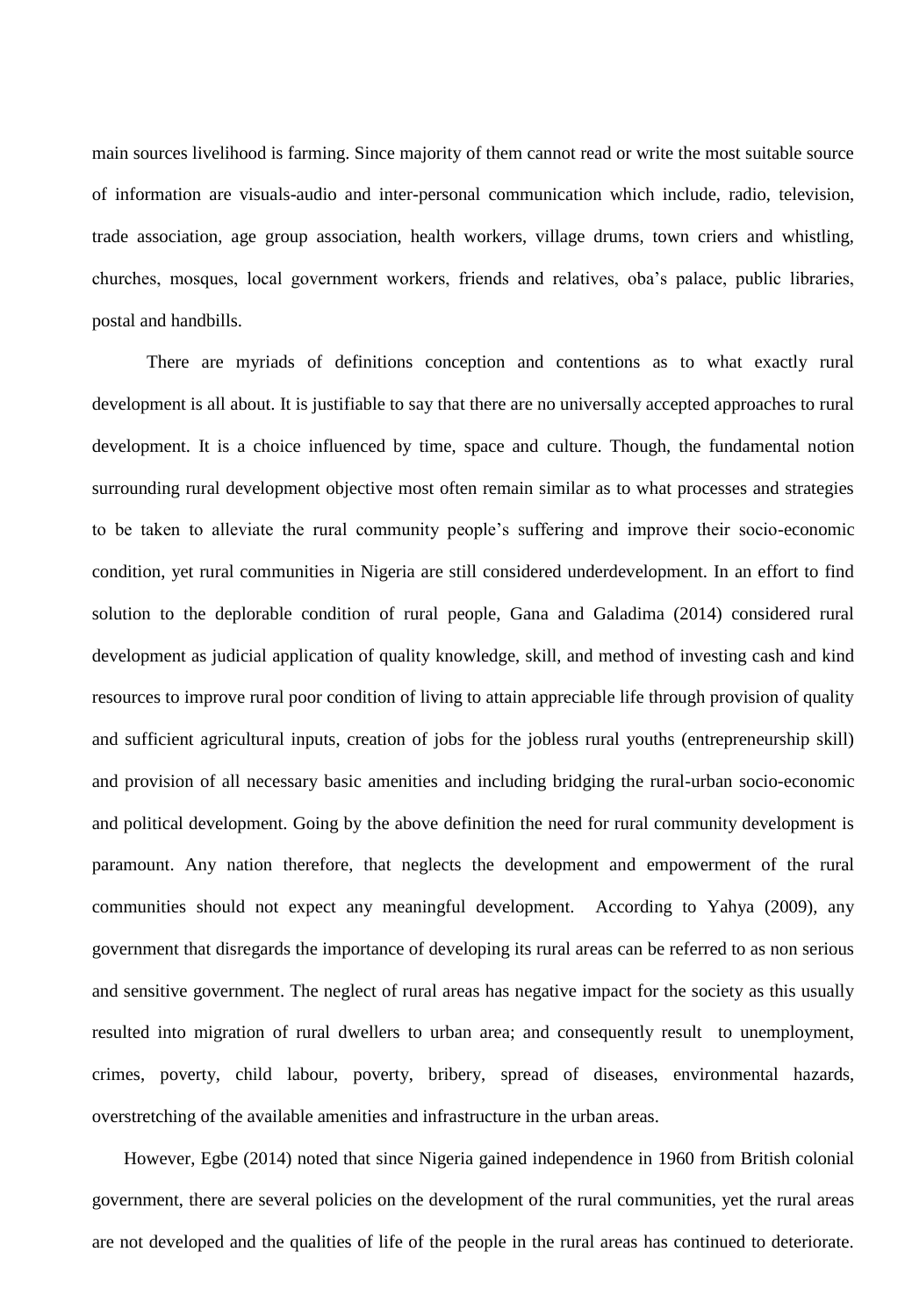main sources livelihood is farming. Since majority of them cannot read or write the most suitable source of information are visuals-audio and inter-personal communication which include, radio, television, trade association, age group association, health workers, village drums, town criers and whistling, churches, mosques, local government workers, friends and relatives, oba's palace, public libraries, postal and handbills.

 There are myriads of definitions conception and contentions as to what exactly rural development is all about. It is justifiable to say that there are no universally accepted approaches to rural development. It is a choice influenced by time, space and culture. Though, the fundamental notion surrounding rural development objective most often remain similar as to what processes and strategies to be taken to alleviate the rural community people's suffering and improve their socio-economic condition, yet rural communities in Nigeria are still considered underdevelopment. In an effort to find solution to the deplorable condition of rural people, Gana and Galadima (2014) considered rural development as judicial application of quality knowledge, skill, and method of investing cash and kind resources to improve rural poor condition of living to attain appreciable life through provision of quality and sufficient agricultural inputs, creation of jobs for the jobless rural youths (entrepreneurship skill) and provision of all necessary basic amenities and including bridging the rural-urban socio-economic and political development. Going by the above definition the need for rural community development is paramount. Any nation therefore, that neglects the development and empowerment of the rural communities should not expect any meaningful development. According to Yahya (2009), any government that disregards the importance of developing its rural areas can be referred to as non serious and sensitive government. The neglect of rural areas has negative impact for the society as this usually resulted into migration of rural dwellers to urban area; and consequently result to unemployment, crimes, poverty, child labour, poverty, bribery, spread of diseases, environmental hazards, overstretching of the available amenities and infrastructure in the urban areas.

 However, Egbe (2014) noted that since Nigeria gained independence in 1960 from British colonial government, there are several policies on the development of the rural communities, yet the rural areas are not developed and the qualities of life of the people in the rural areas has continued to deteriorate.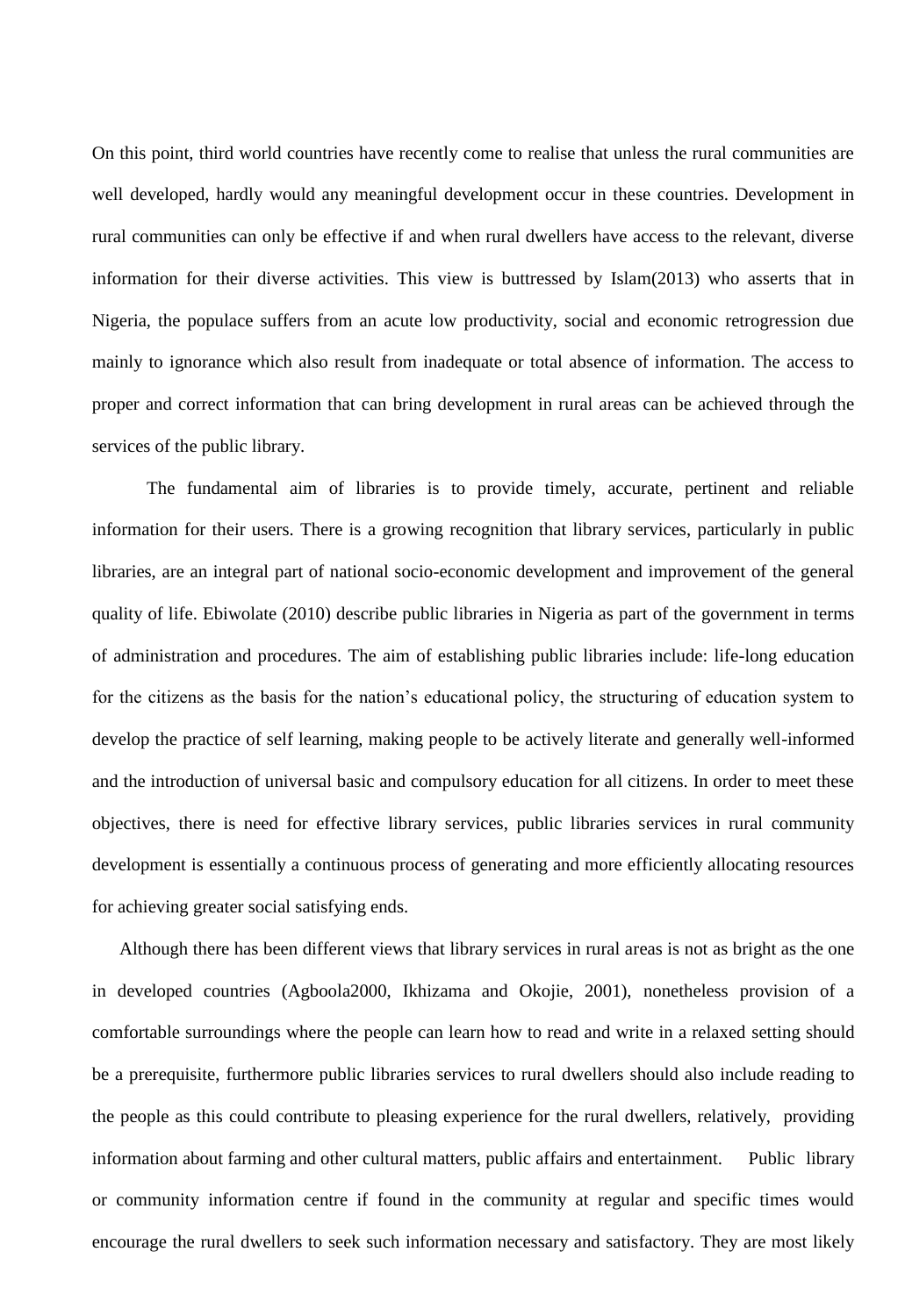On this point, third world countries have recently come to realise that unless the rural communities are well developed, hardly would any meaningful development occur in these countries. Development in rural communities can only be effective if and when rural dwellers have access to the relevant, diverse information for their diverse activities. This view is buttressed by Islam(2013) who asserts that in Nigeria, the populace suffers from an acute low productivity, social and economic retrogression due mainly to ignorance which also result from inadequate or total absence of information. The access to proper and correct information that can bring development in rural areas can be achieved through the services of the public library.

 The fundamental aim of libraries is to provide timely, accurate, pertinent and reliable information for their users. There is a growing recognition that library services, particularly in public libraries, are an integral part of national socio-economic development and improvement of the general quality of life. Ebiwolate (2010) describe public libraries in Nigeria as part of the government in terms of administration and procedures. The aim of establishing public libraries include: life-long education for the citizens as the basis for the nation's educational policy, the structuring of education system to develop the practice of self learning, making people to be actively literate and generally well-informed and the introduction of universal basic and compulsory education for all citizens. In order to meet these objectives, there is need for effective library services, public libraries services in rural community development is essentially a continuous process of generating and more efficiently allocating resources for achieving greater social satisfying ends.

 Although there has been different views that library services in rural areas is not as bright as the one in developed countries (Agboola2000, Ikhizama and Okojie, 2001), nonetheless provision of a comfortable surroundings where the people can learn how to read and write in a relaxed setting should be a prerequisite, furthermore public libraries services to rural dwellers should also include reading to the people as this could contribute to pleasing experience for the rural dwellers, relatively, providing information about farming and other cultural matters, public affairs and entertainment. Public library or community information centre if found in the community at regular and specific times would encourage the rural dwellers to seek such information necessary and satisfactory. They are most likely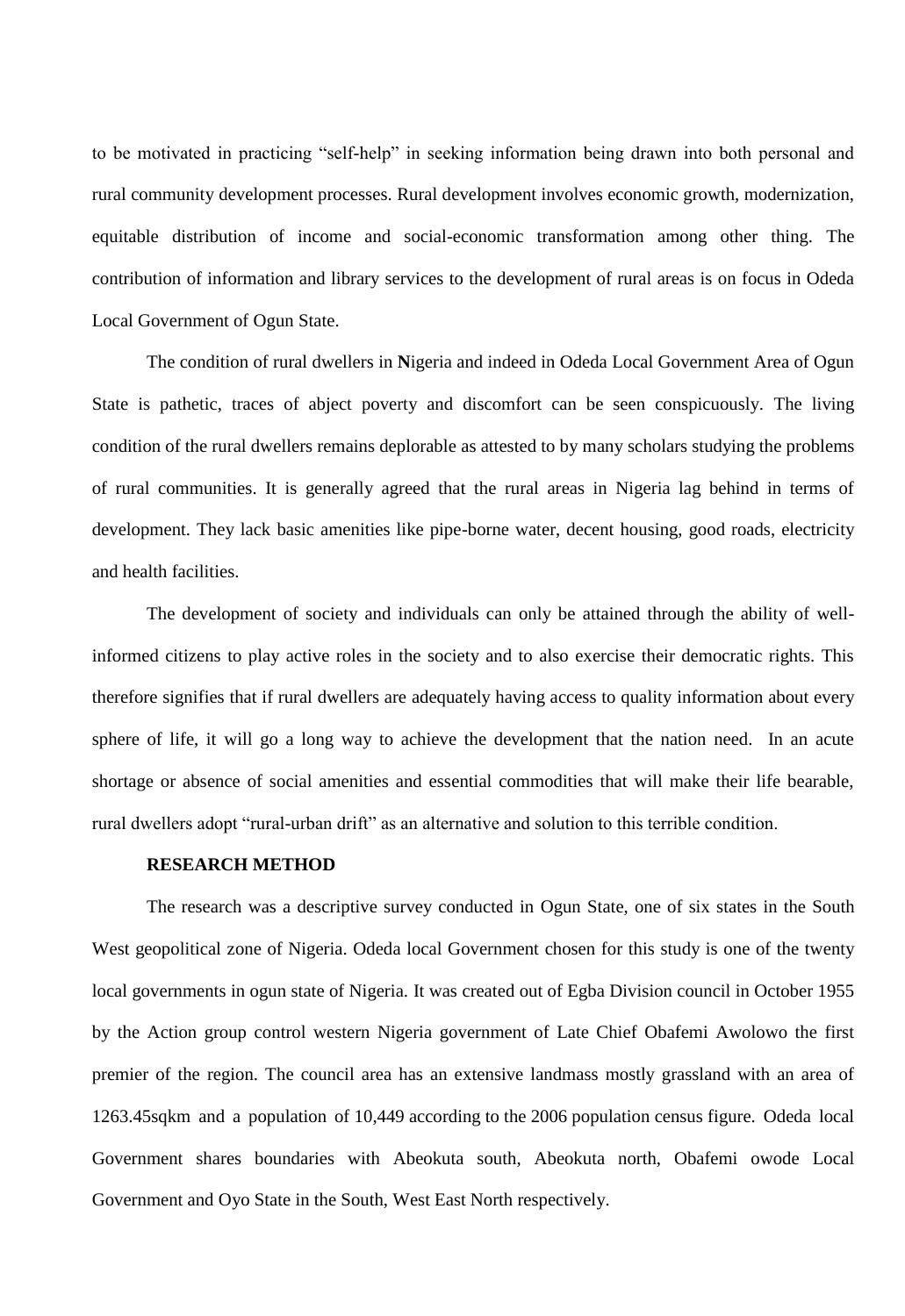to be motivated in practicing "self-help" in seeking information being drawn into both personal and rural community development processes. Rural development involves economic growth, modernization, equitable distribution of income and social-economic transformation among other thing. The contribution of information and library services to the development of rural areas is on focus in Odeda Local Government of Ogun State.

The condition of rural dwellers in **N**igeria and indeed in Odeda Local Government Area of Ogun State is pathetic, traces of abject poverty and discomfort can be seen conspicuously. The living condition of the rural dwellers remains deplorable as attested to by many scholars studying the problems of rural communities. It is generally agreed that the rural areas in Nigeria lag behind in terms of development. They lack basic amenities like pipe-borne water, decent housing, good roads, electricity and health facilities.

The development of society and individuals can only be attained through the ability of wellinformed citizens to play active roles in the society and to also exercise their democratic rights. This therefore signifies that if rural dwellers are adequately having access to quality information about every sphere of life, it will go a long way to achieve the development that the nation need. In an acute shortage or absence of social amenities and essential commodities that will make their life bearable, rural dwellers adopt "rural-urban drift" as an alternative and solution to this terrible condition.

#### **RESEARCH METHOD**

The research was a descriptive survey conducted in Ogun State, one of six states in the South West geopolitical zone of Nigeria. Odeda local Government chosen for this study is one of the twenty local governments in ogun state of Nigeria. It was created out of Egba Division council in October 1955 by the Action group control western Nigeria government of Late Chief Obafemi Awolowo the first premier of the region. The council area has an extensive landmass mostly grassland with an area of 1263.45sqkm and a population of 10,449 according to the 2006 population census figure. Odeda local Government shares boundaries with Abeokuta south, Abeokuta north, Obafemi owode Local Government and Oyo State in the South, West East North respectively.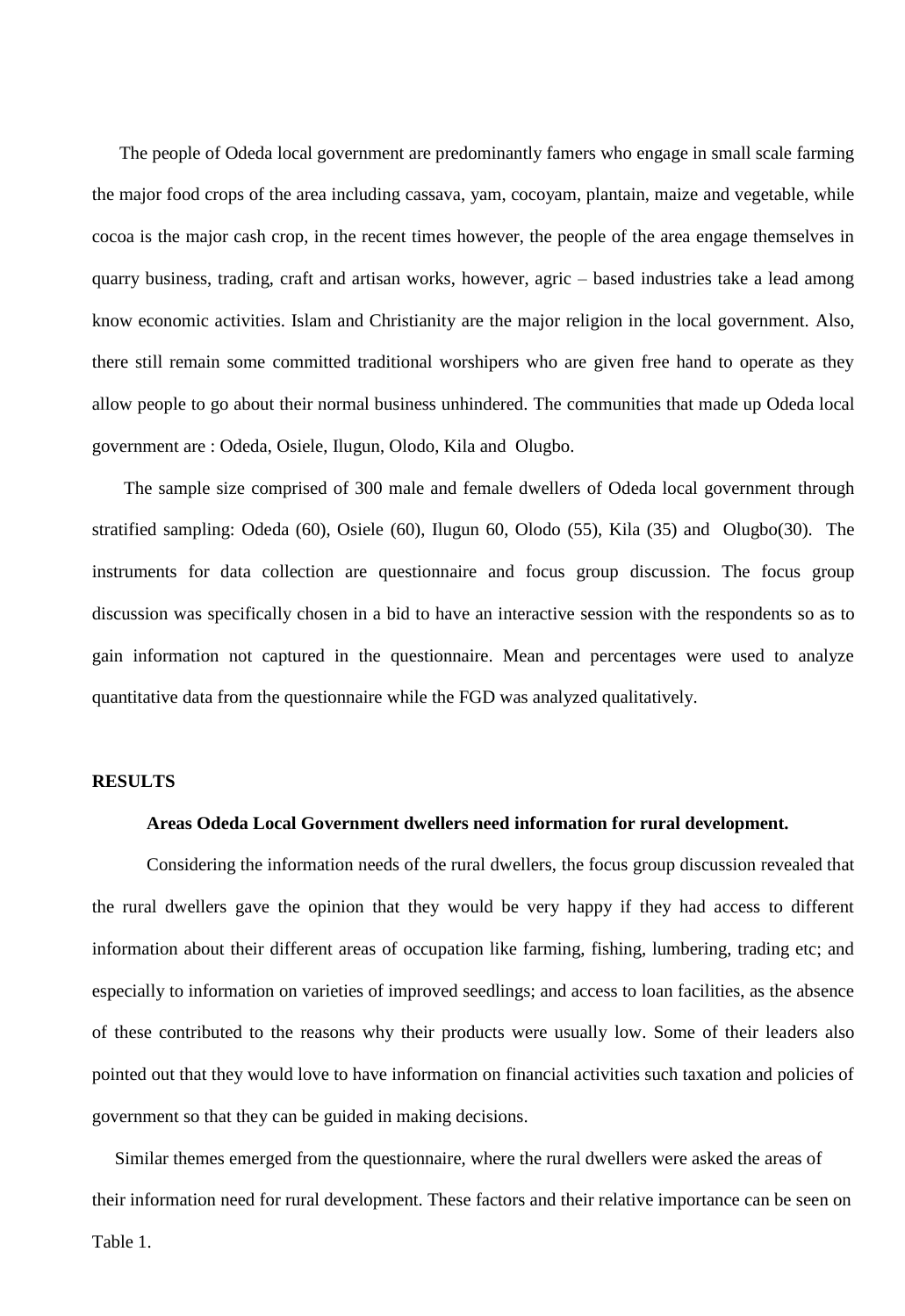The people of Odeda local government are predominantly famers who engage in small scale farming the major food crops of the area including cassava, yam, cocoyam, plantain, maize and vegetable, while cocoa is the major cash crop, in the recent times however, the people of the area engage themselves in quarry business, trading, craft and artisan works, however, agric – based industries take a lead among know economic activities. Islam and Christianity are the major religion in the local government. Also, there still remain some committed traditional worshipers who are given free hand to operate as they allow people to go about their normal business unhindered. The communities that made up Odeda local government are : Odeda, Osiele, Ilugun, Olodo, Kila and Olugbo.

 The sample size comprised of 300 male and female dwellers of Odeda local government through stratified sampling: Odeda (60), Osiele (60), Ilugun 60, Olodo (55), Kila (35) and Olugbo(30). The instruments for data collection are questionnaire and focus group discussion. The focus group discussion was specifically chosen in a bid to have an interactive session with the respondents so as to gain information not captured in the questionnaire. Mean and percentages were used to analyze quantitative data from the questionnaire while the FGD was analyzed qualitatively.

#### **RESULTS**

# **Areas Odeda Local Government dwellers need information for rural development.**

Considering the information needs of the rural dwellers, the focus group discussion revealed that the rural dwellers gave the opinion that they would be very happy if they had access to different information about their different areas of occupation like farming, fishing, lumbering, trading etc; and especially to information on varieties of improved seedlings; and access to loan facilities, as the absence of these contributed to the reasons why their products were usually low. Some of their leaders also pointed out that they would love to have information on financial activities such taxation and policies of government so that they can be guided in making decisions.

 Similar themes emerged from the questionnaire, where the rural dwellers were asked the areas of their information need for rural development. These factors and their relative importance can be seen on Table 1.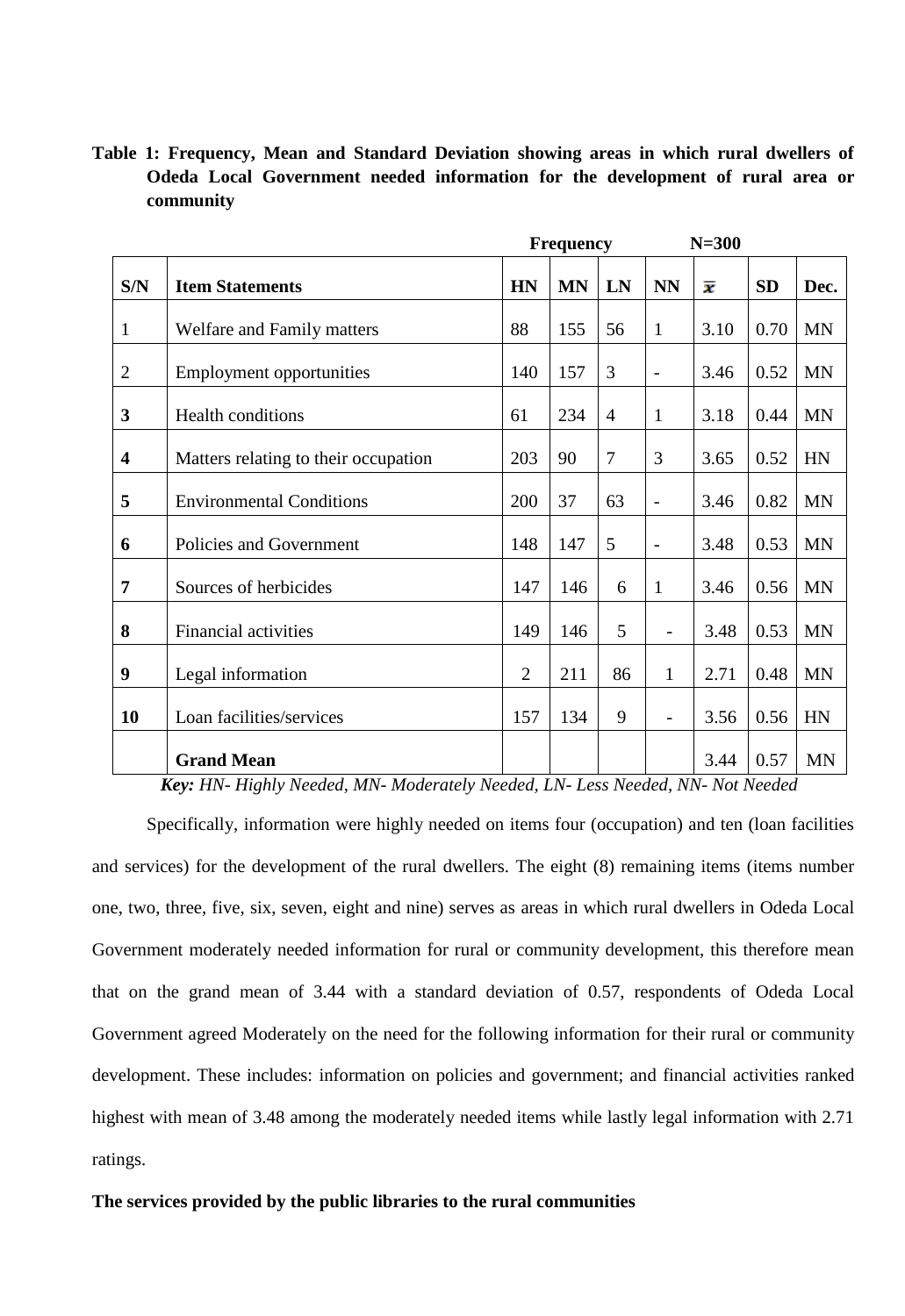**Table 1: Frequency, Mean and Standard Deviation showing areas in which rural dwellers of Odeda Local Government needed information for the development of rural area or community** 

|                         |                                      |                | <b>Frequency</b> |                |                          | $N=300$ |           |           |
|-------------------------|--------------------------------------|----------------|------------------|----------------|--------------------------|---------|-----------|-----------|
| S/N                     | <b>Item Statements</b>               | <b>HN</b>      | <b>MN</b>        | LN             | <b>NN</b>                | x       | <b>SD</b> | Dec.      |
| 1                       | Welfare and Family matters           | 88             | 155              | 56             | $\mathbf{1}$             | 3.10    | 0.70      | <b>MN</b> |
| $\overline{2}$          | <b>Employment opportunities</b>      | 140            | 157              | 3              | $\overline{\phantom{0}}$ | 3.46    | 0.52      | <b>MN</b> |
| 3                       | Health conditions                    | 61             | 234              | $\overline{4}$ | $\mathbf{1}$             | 3.18    | 0.44      | <b>MN</b> |
| $\overline{\mathbf{4}}$ | Matters relating to their occupation | 203            | 90               | $\overline{7}$ | 3                        | 3.65    | 0.52      | HN        |
| 5                       | <b>Environmental Conditions</b>      | 200            | 37               | 63             | $\overline{\phantom{a}}$ | 3.46    | 0.82      | <b>MN</b> |
| 6                       | Policies and Government              | 148            | 147              | 5              | $\overline{\phantom{a}}$ | 3.48    | 0.53      | <b>MN</b> |
| 7                       | Sources of herbicides                | 147            | 146              | 6              | $\mathbf{1}$             | 3.46    | 0.56      | <b>MN</b> |
| 8                       | <b>Financial activities</b>          | 149            | 146              | 5              | $\overline{a}$           | 3.48    | 0.53      | <b>MN</b> |
| 9                       | Legal information                    | $\overline{2}$ | 211              | 86             | $\mathbf{1}$             | 2.71    | 0.48      | <b>MN</b> |
| 10                      | Loan facilities/services             | 157            | 134              | 9              | $\overline{\phantom{0}}$ | 3.56    | 0.56      | HN        |
|                         | <b>Grand Mean</b>                    |                |                  |                |                          | 3.44    | 0.57      | <b>MN</b> |

 *Key: HN- Highly Needed, MN- Moderately Needed, LN- Less Needed, NN- Not Needed*

Specifically, information were highly needed on items four (occupation) and ten (loan facilities and services) for the development of the rural dwellers. The eight (8) remaining items (items number one, two, three, five, six, seven, eight and nine) serves as areas in which rural dwellers in Odeda Local Government moderately needed information for rural or community development, this therefore mean that on the grand mean of 3.44 with a standard deviation of 0.57, respondents of Odeda Local Government agreed Moderately on the need for the following information for their rural or community development. These includes: information on policies and government; and financial activities ranked highest with mean of 3.48 among the moderately needed items while lastly legal information with 2.71 ratings.

# **The services provided by the public libraries to the rural communities**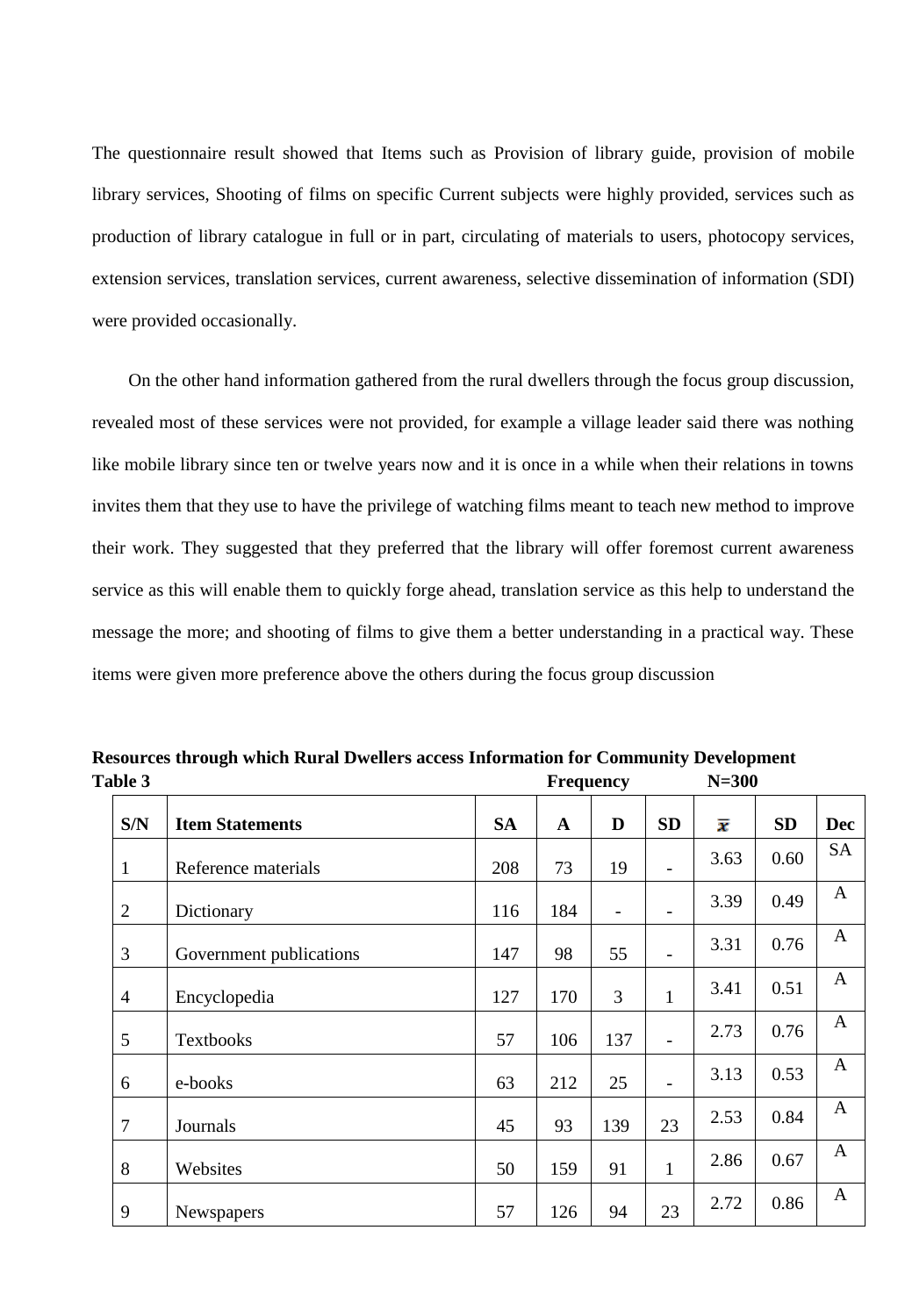The questionnaire result showed that Items such as Provision of library guide, provision of mobile library services, Shooting of films on specific Current subjects were highly provided, services such as production of library catalogue in full or in part, circulating of materials to users, photocopy services, extension services, translation services, current awareness, selective dissemination of information (SDI) were provided occasionally.

 On the other hand information gathered from the rural dwellers through the focus group discussion, revealed most of these services were not provided, for example a village leader said there was nothing like mobile library since ten or twelve years now and it is once in a while when their relations in towns invites them that they use to have the privilege of watching films meant to teach new method to improve their work. They suggested that they preferred that the library will offer foremost current awareness service as this will enable them to quickly forge ahead, translation service as this help to understand the message the more; and shooting of films to give them a better understanding in a practical way. These items were given more preference above the others during the focus group discussion

| Table 3        |                         |           | <b>Frequency</b> |                |              | $N=300$ |           |              |
|----------------|-------------------------|-----------|------------------|----------------|--------------|---------|-----------|--------------|
| S/N            | <b>Item Statements</b>  | <b>SA</b> | $\mathbf A$      | D              | <b>SD</b>    | x       | <b>SD</b> | <b>Dec</b>   |
| $\mathbf{1}$   | Reference materials     | 208       | 73               | 19             |              | 3.63    | 0.60      | <b>SA</b>    |
| $\overline{2}$ | Dictionary              | 116       | 184              | $\overline{a}$ |              | 3.39    | 0.49      | A            |
| 3              | Government publications | 147       | 98               | 55             |              | 3.31    | 0.76      | $\mathbf{A}$ |
| $\overline{4}$ | Encyclopedia            | 127       | 170              | 3              | $\mathbf{1}$ | 3.41    | 0.51      | $\mathbf{A}$ |
| 5              | Textbooks               | 57        | 106              | 137            |              | 2.73    | 0.76      | $\mathbf{A}$ |
| 6              | e-books                 | 63        | 212              | 25             |              | 3.13    | 0.53      | $\mathbf{A}$ |
| $\overline{7}$ | Journals                | 45        | 93               | 139            | 23           | 2.53    | 0.84      | $\mathbf{A}$ |
| 8              | Websites                | 50        | 159              | 91             | $\mathbf{1}$ | 2.86    | 0.67      | $\mathbf{A}$ |
| 9              | Newspapers              | 57        | 126              | 94             | 23           | 2.72    | 0.86      | $\mathbf{A}$ |

**Resources through which Rural Dwellers access Information for Community Development**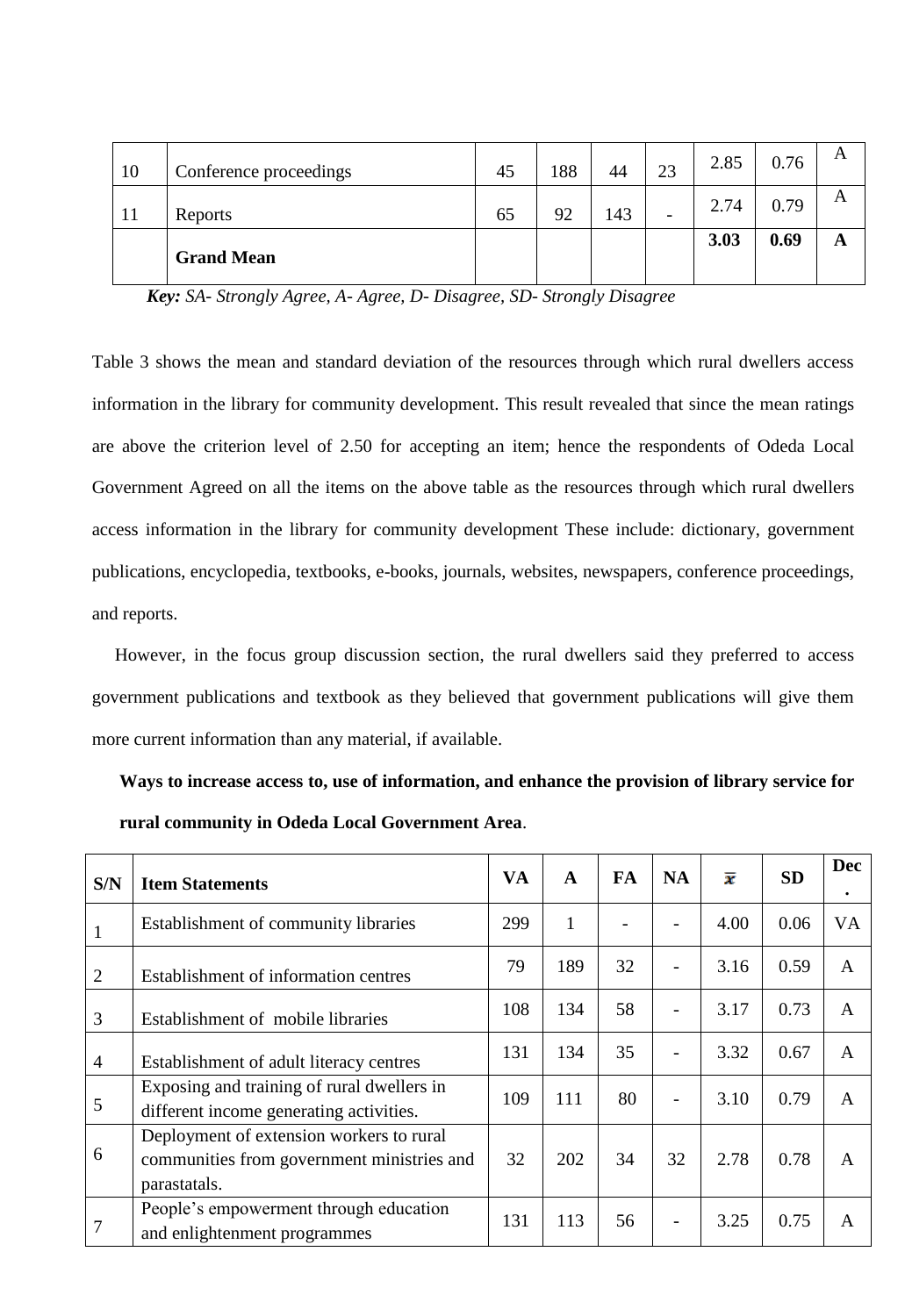| 10 | Conference proceedings | 45 | 188 | 44  | 23                       | 2.85 | 0.76 |  |
|----|------------------------|----|-----|-----|--------------------------|------|------|--|
| 11 | Reports                | 65 | 92  | 143 | $\overline{\phantom{a}}$ | 2.74 | 0.79 |  |
|    | <b>Grand Mean</b>      |    |     |     |                          | 3.03 | 0.69 |  |

*Key: SA- Strongly Agree, A- Agree, D- Disagree, SD- Strongly Disagree*

Table 3 shows the mean and standard deviation of the resources through which rural dwellers access information in the library for community development. This result revealed that since the mean ratings are above the criterion level of 2.50 for accepting an item; hence the respondents of Odeda Local Government Agreed on all the items on the above table as the resources through which rural dwellers access information in the library for community development These include: dictionary, government publications, encyclopedia, textbooks, e-books, journals, websites, newspapers, conference proceedings, and reports.

 However, in the focus group discussion section, the rural dwellers said they preferred to access government publications and textbook as they believed that government publications will give them more current information than any material, if available.

| Ways to increase access to, use of information, and enhance the provision of library service for |  |
|--------------------------------------------------------------------------------------------------|--|
| rural community in Odeda Local Government Area.                                                  |  |

| S/N            | <b>Item Statements</b>                                                                                 | VA  | $\mathbf{A}$ | FA | <b>NA</b> | $\overline{x}$ | <b>SD</b> | <b>Dec</b><br>٠ |
|----------------|--------------------------------------------------------------------------------------------------------|-----|--------------|----|-----------|----------------|-----------|-----------------|
| 1              | Establishment of community libraries                                                                   | 299 | $\mathbf{1}$ |    |           | 4.00           | 0.06      | <b>VA</b>       |
| $\overline{2}$ | Establishment of information centres                                                                   | 79  | 189          | 32 |           | 3.16           | 0.59      | $\mathsf{A}$    |
| 3              | Establishment of mobile libraries                                                                      | 108 | 134          | 58 |           | 3.17           | 0.73      | A               |
| $\overline{4}$ | Establishment of adult literacy centres                                                                | 131 | 134          | 35 |           | 3.32           | 0.67      | A               |
| 5              | Exposing and training of rural dwellers in<br>different income generating activities.                  | 109 | 111          | 80 |           | 3.10           | 0.79      | A               |
| 6              | Deployment of extension workers to rural<br>communities from government ministries and<br>parastatals. | 32  | 202          | 34 | 32        | 2.78           | 0.78      | A               |
| 7              | People's empowerment through education<br>and enlightenment programmes                                 | 131 | 113          | 56 |           | 3.25           | 0.75      | $\mathsf{A}$    |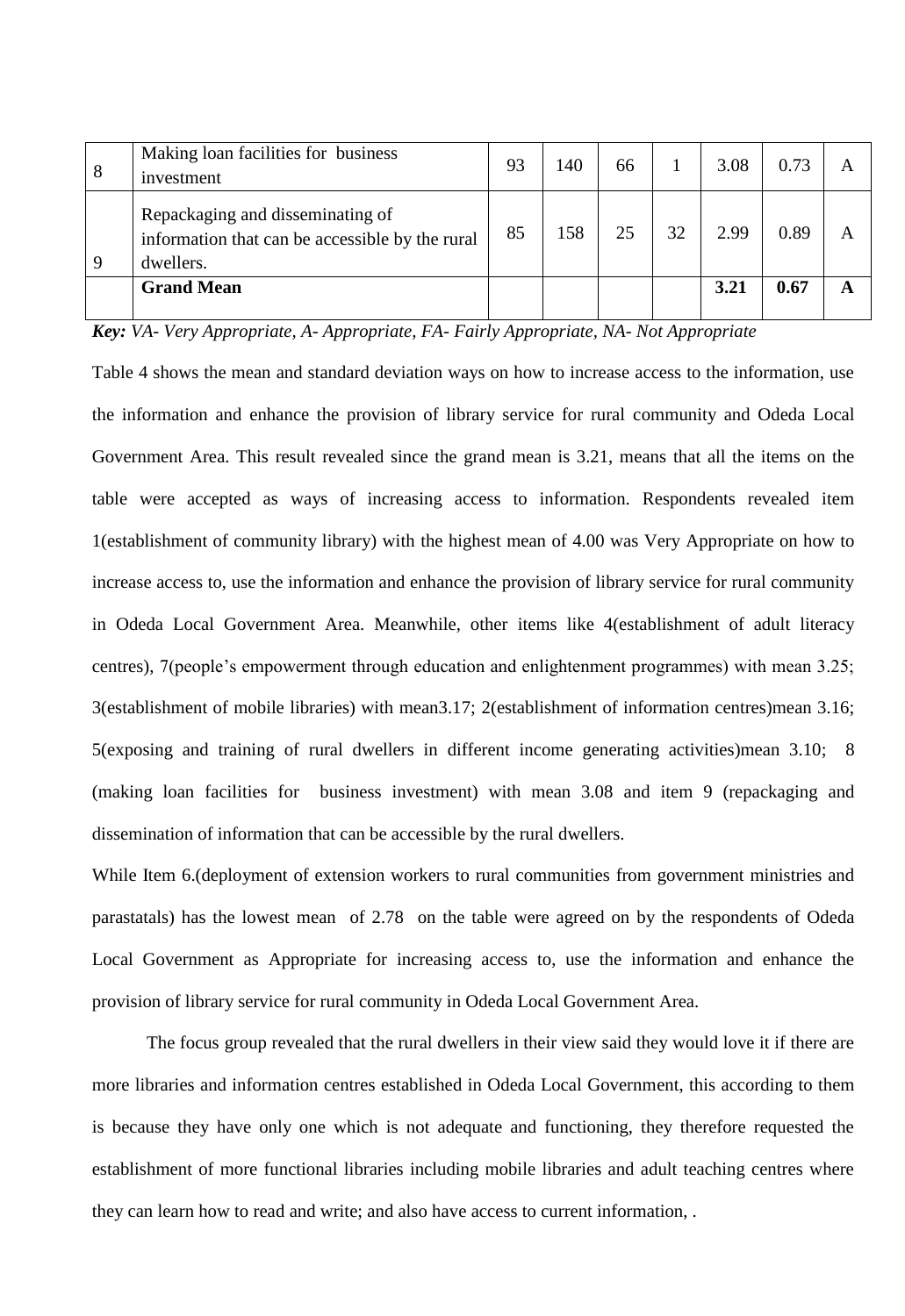| 8 | Making loan facilities for business<br>investment                                                | 93 | 140 | 66 |    | 3.08 | 0.73 |   |
|---|--------------------------------------------------------------------------------------------------|----|-----|----|----|------|------|---|
| 9 | Repackaging and disseminating of<br>information that can be accessible by the rural<br>dwellers. | 85 | 158 | 25 | 32 | 2.99 | 0.89 |   |
|   | <b>Grand Mean</b>                                                                                |    |     |    |    | 3.21 | 0.67 | A |

*Key: VA- Very Appropriate, A- Appropriate, FA- Fairly Appropriate, NA- Not Appropriate*

Table 4 shows the mean and standard deviation ways on how to increase access to the information, use the information and enhance the provision of library service for rural community and Odeda Local Government Area. This result revealed since the grand mean is 3.21, means that all the items on the table were accepted as ways of increasing access to information. Respondents revealed item 1(establishment of community library) with the highest mean of 4.00 was Very Appropriate on how to increase access to, use the information and enhance the provision of library service for rural community in Odeda Local Government Area. Meanwhile, other items like 4(establishment of adult literacy centres), 7(people's empowerment through education and enlightenment programmes) with mean 3.25; 3(establishment of mobile libraries) with mean3.17; 2(establishment of information centres)mean 3.16; 5(exposing and training of rural dwellers in different income generating activities)mean 3.10; 8 (making loan facilities for business investment) with mean 3.08 and item 9 (repackaging and dissemination of information that can be accessible by the rural dwellers.

While Item 6. (deployment of extension workers to rural communities from government ministries and parastatals) has the lowest mean of 2.78 on the table were agreed on by the respondents of Odeda Local Government as Appropriate for increasing access to, use the information and enhance the provision of library service for rural community in Odeda Local Government Area.

The focus group revealed that the rural dwellers in their view said they would love it if there are more libraries and information centres established in Odeda Local Government, this according to them is because they have only one which is not adequate and functioning, they therefore requested the establishment of more functional libraries including mobile libraries and adult teaching centres where they can learn how to read and write; and also have access to current information, .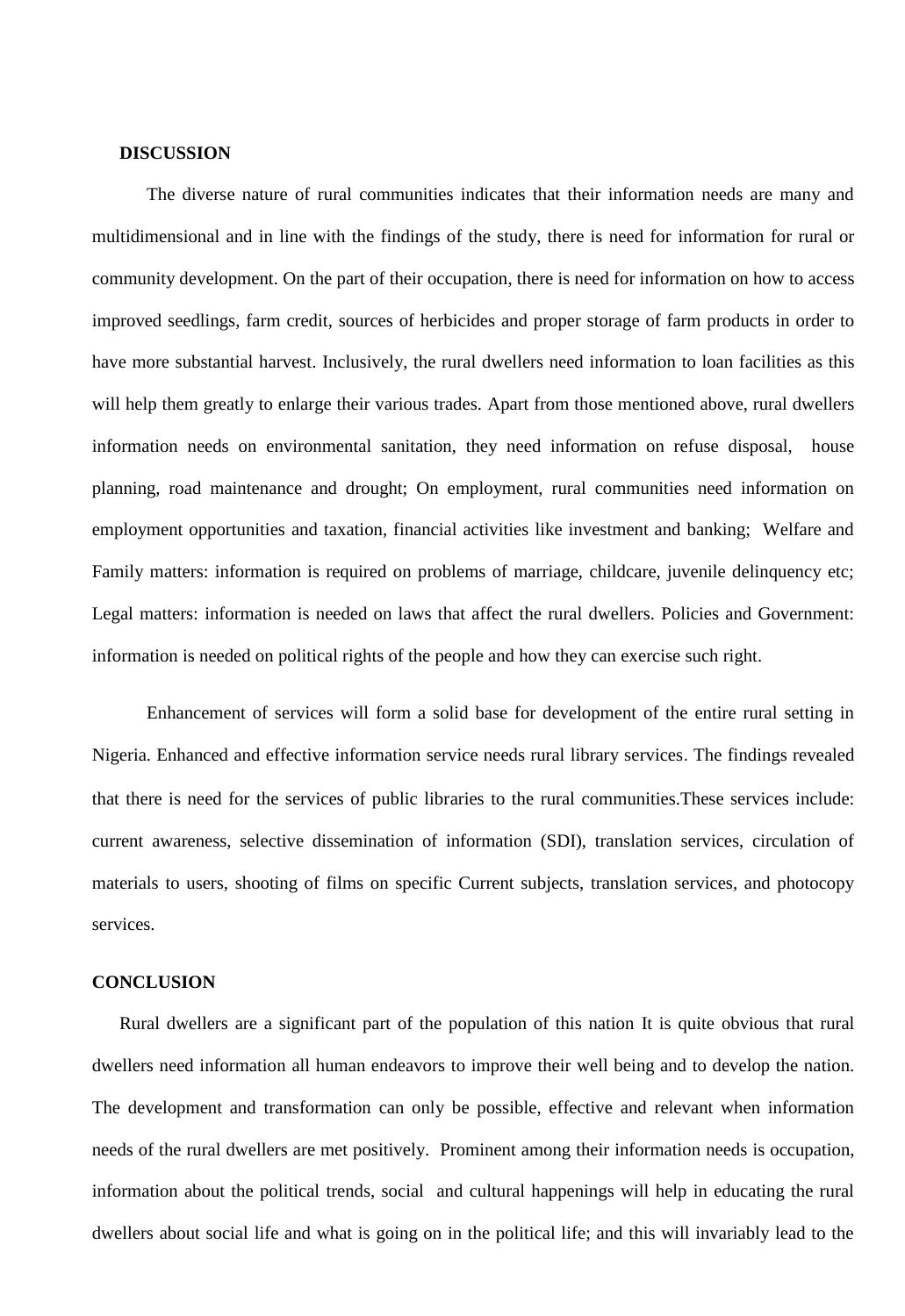#### **DISCUSSION**

The diverse nature of rural communities indicates that their information needs are many and multidimensional and in line with the findings of the study, there is need for information for rural or community development. On the part of their occupation, there is need for information on how to access improved seedlings, farm credit, sources of herbicides and proper storage of farm products in order to have more substantial harvest. Inclusively, the rural dwellers need information to loan facilities as this will help them greatly to enlarge their various trades. Apart from those mentioned above, rural dwellers information needs on environmental sanitation, they need information on refuse disposal, house planning, road maintenance and drought; On employment, rural communities need information on employment opportunities and taxation, financial activities like investment and banking; Welfare and Family matters: information is required on problems of marriage, childcare, juvenile delinquency etc; Legal matters: information is needed on laws that affect the rural dwellers. Policies and Government: information is needed on political rights of the people and how they can exercise such right.

Enhancement of services will form a solid base for development of the entire rural setting in Nigeria. Enhanced and effective information service needs rural library services. The findings revealed that there is need for the services of public libraries to the rural communities.These services include: current awareness, selective dissemination of information (SDI), translation services, circulation of materials to users, shooting of films on specific Current subjects, translation services, and photocopy services.

#### **CONCLUSION**

 Rural dwellers are a significant part of the population of this nation It is quite obvious that rural dwellers need information all human endeavors to improve their well being and to develop the nation. The development and transformation can only be possible, effective and relevant when information needs of the rural dwellers are met positively. Prominent among their information needs is occupation, information about the political trends, social and cultural happenings will help in educating the rural dwellers about social life and what is going on in the political life; and this will invariably lead to the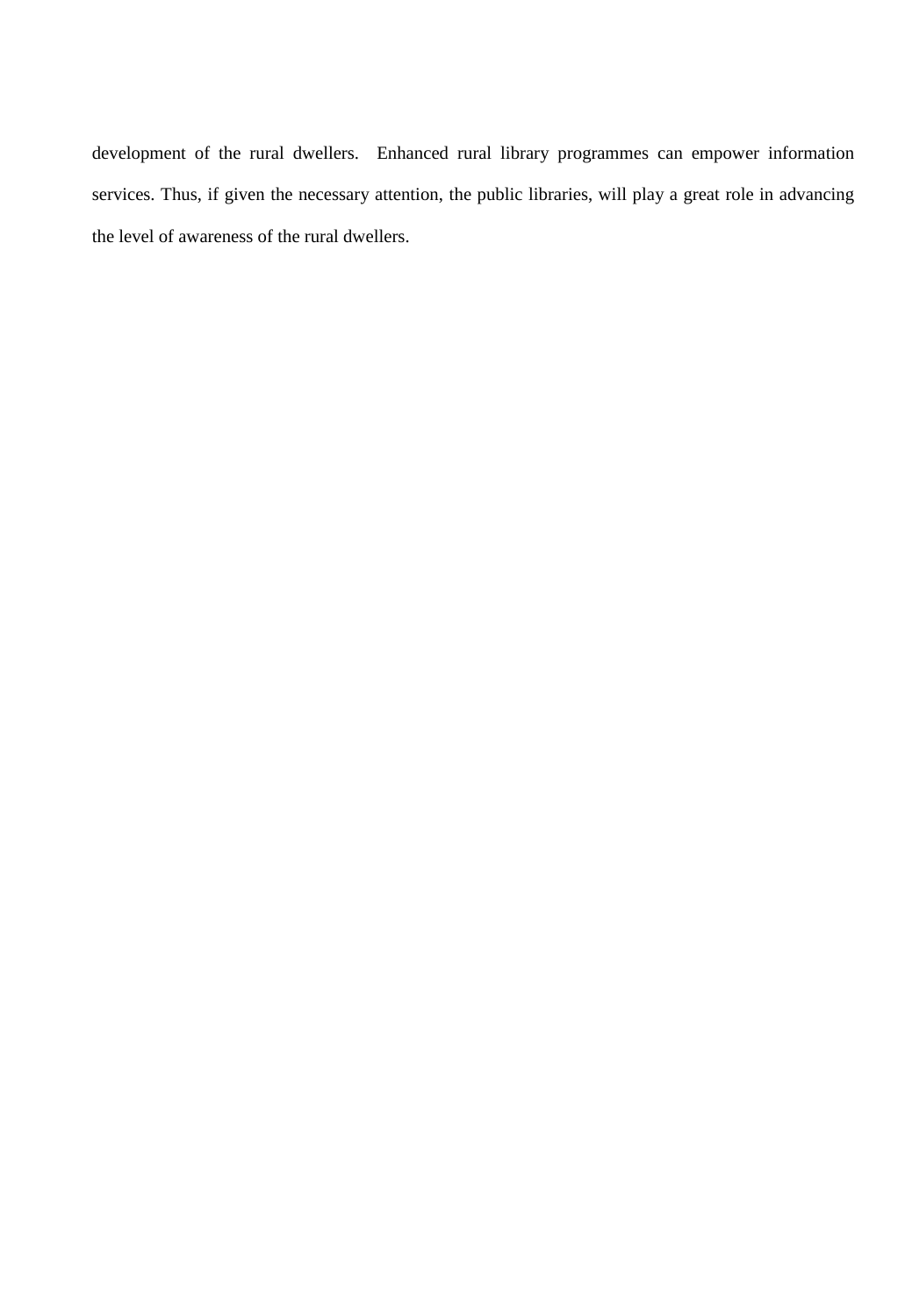development of the rural dwellers. Enhanced rural library programmes can empower information services. Thus, if given the necessary attention, the public libraries, will play a great role in advancing the level of awareness of the rural dwellers.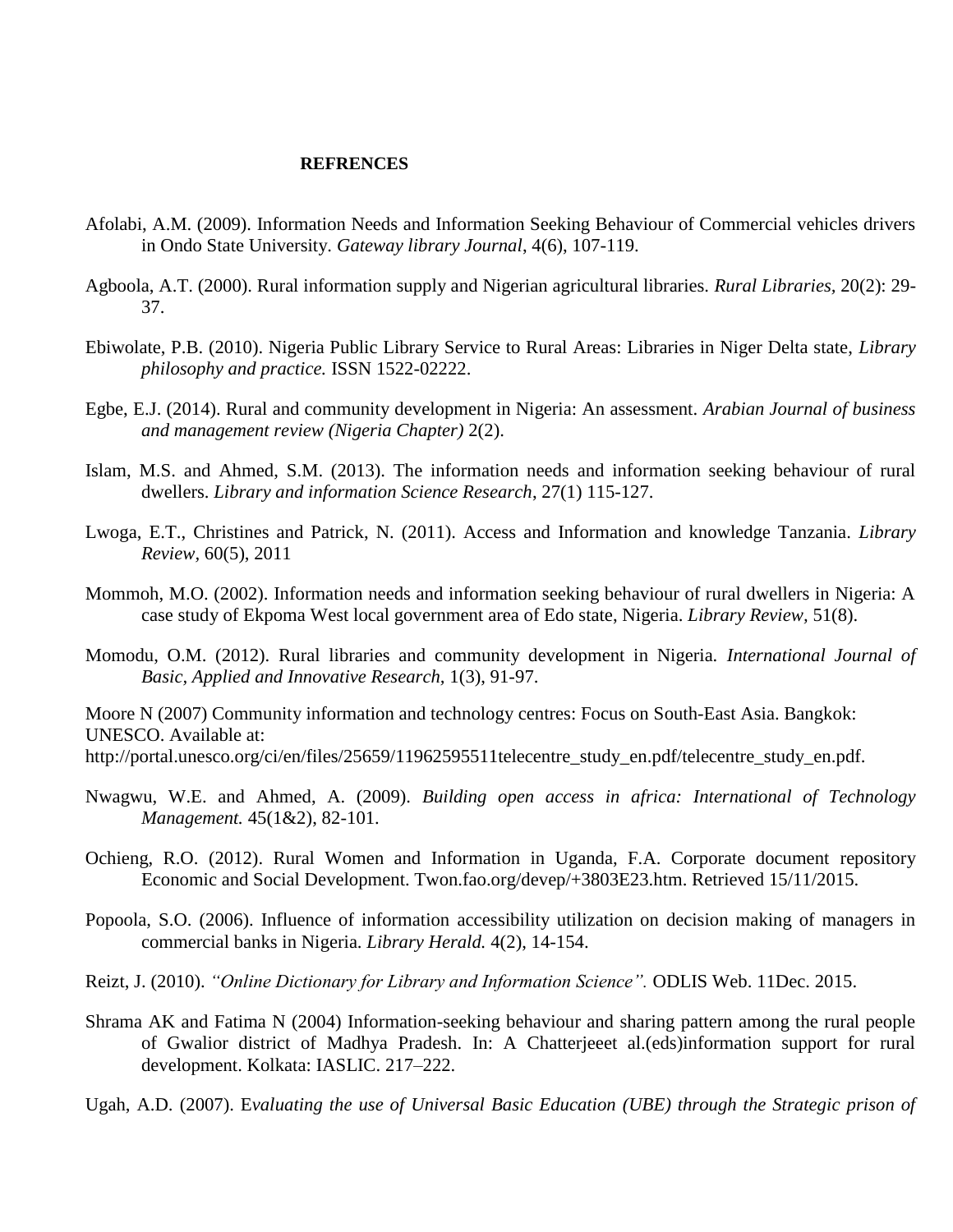#### **REFRENCES**

- Afolabi, A.M. (2009). Information Needs and Information Seeking Behaviour of Commercial vehicles drivers in Ondo State University. *Gateway library Journal*, 4(6), 107-119.
- Agboola, A.T. (2000). Rural information supply and Nigerian agricultural libraries. *Rural Libraries,* 20(2): 29- 37.
- Ebiwolate, P.B. (2010). Nigeria Public Library Service to Rural Areas: Libraries in Niger Delta state, *Library philosophy and practice.* ISSN 1522-02222.
- Egbe, E.J. (2014). Rural and community development in Nigeria: An assessment. *Arabian Journal of business and management review (Nigeria Chapter)* 2(2).
- Islam, M.S. and Ahmed, S.M. (2013). The information needs and information seeking behaviour of rural dwellers. *Library and information Science Research*, 27(1) 115-127.
- Lwoga, E.T., Christines and Patrick, N. (2011). Access and Information and knowledge Tanzania. *Library Review,* 60(5), 2011
- Mommoh, M.O. (2002). Information needs and information seeking behaviour of rural dwellers in Nigeria: A case study of Ekpoma West local government area of Edo state, Nigeria. *Library Review,* 51(8).
- Momodu, O.M. (2012). Rural libraries and community development in Nigeria. *International Journal of Basic, Applied and Innovative Research,* 1(3), 91-97.

Moore N (2007) Community information and technology centres: Focus on South-East Asia. Bangkok: UNESCO. Available at: http://portal.unesco.org/ci/en/files/25659/11962595511telecentre\_study\_en.pdf/telecentre\_study\_en.pdf.

- Nwagwu, W.E. and Ahmed, A. (2009). *Building open access in africa: International of Technology Management.* 45(1&2), 82-101.
- Ochieng, R.O. (2012). Rural Women and Information in Uganda, F.A. Corporate document repository Economic and Social Development. Twon.fao.org/devep/+3803E23.htm. Retrieved 15/11/2015.
- Popoola, S.O. (2006). Influence of information accessibility utilization on decision making of managers in commercial banks in Nigeria. *Library Herald.* 4(2), 14-154.
- Reizt, J. (2010). *"Online Dictionary for Library and Information Science".* ODLIS Web. 11Dec. 2015.
- Shrama AK and Fatima N (2004) Information-seeking behaviour and sharing pattern among the rural people of Gwalior district of Madhya Pradesh. In: A Chatterjeeet al.(eds)information support for rural development. Kolkata: IASLIC. 217–222.
- Ugah, A.D. (2007). E*valuating the use of Universal Basic Education (UBE) through the Strategic prison of*